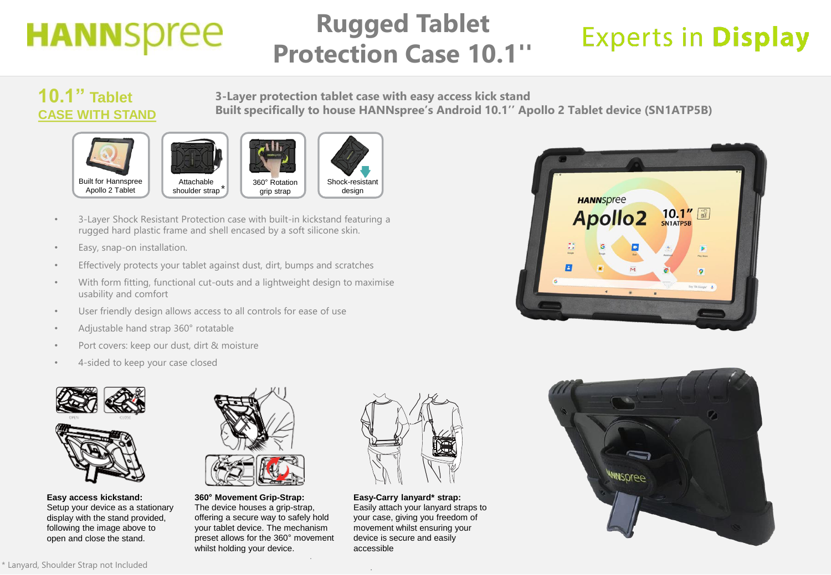# **HANNSpree**

#### **Rugged Tablet Protection Case 10.1''**

**Built specifically to house HANNspree's Android 10.1'' Apollo 2 Tablet device (SN1ATP5B)**

## **Experts in Display**

#### **10.1'' Tablet CASE WITH STAND**









**3-Layer protection tablet case with easy access kick stand**

- 3-Layer Shock Resistant Protection case with built-in kickstand featuring a rugged hard plastic frame and shell encased by a soft silicone skin.
- Easy, snap-on installation.
- Effectively protects your tablet against dust, dirt, bumps and scratches
- With form fitting, functional cut-outs and a lightweight design to maximise usability and comfort
- User friendly design allows access to all controls for ease of use
- Adjustable hand strap 360° rotatable
- Port covers: keep our dust, dirt & moisture
- 4-sided to keep your case closed



**Easy access kickstand:**  Setup your device as a stationary display with the stand provided, following the image above to open and close the stand.



**360° Movement Grip-Strap:**  The device houses a grip-strap, offering a secure way to safely hold your tablet device. The mechanism preset allows for the 360° movement whilst holding your device.



**Easy-Carry lanyard\* strap:**  Easily attach your lanyard straps to your case, giving you freedom of movement whilst ensuring your device is secure and easily accessible



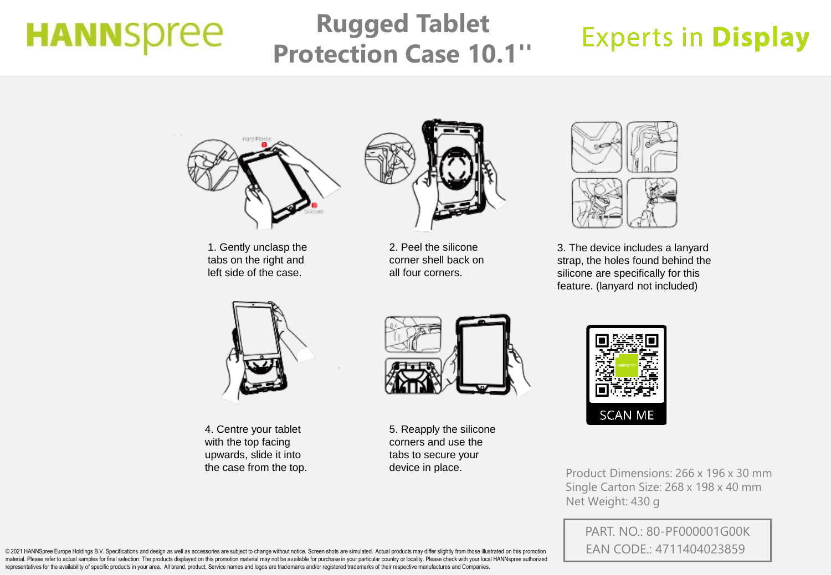# **HANNSpree**

### **Rugged Tablet Protection Case 10.1''**

### **Experts in Display**



1. Gently unclasp the tabs on the right and left side of the case.



2. Peel the silicone corner shell back on all four corners.



3. The device includes a lanyard strap, the holes found behind the silicone are specifically for this feature. (lanyard not included)



4. Centre your tablet with the top facing upwards, slide it into the case from the top.



5. Reapply the silicone corners and use the tabs to secure your device in place.



Product Dimensions: 266 x 196 x 30 mm Single Carton Size: 268 x 198 x 40 mm Net Weight: 430 g

PART. NO.: 80-PF000001G00K EAN CODE.: 4711404023859

@ 2021 HANNSpree Europe Holdings B.V. Specifications and design as well as accessories are subject to change without notice. Screen shots are simulated. Actual products may differ slightly from those illustrated on this pr material. Please refer to actual samples for final selection. The products displayed on this promotion material may not be available for purchase in your particular country or locality. Please check with your local HANNspr representatives for the availability of specific products in your area. All brand, product, Service names and logos are trademarks and/or registered trademarks of their respective manufactures and Companies.